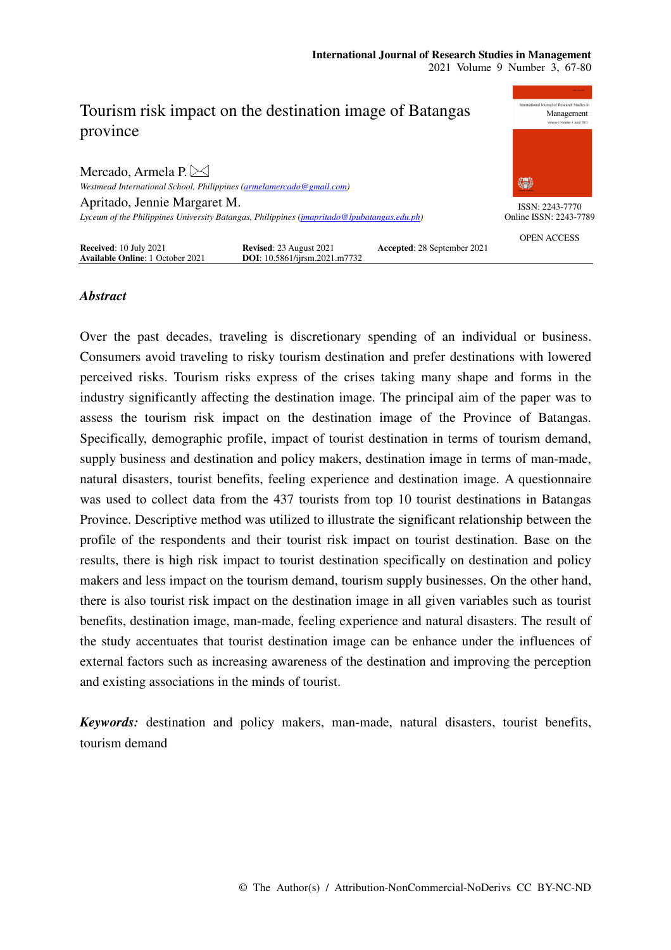

# *Abstract*

Over the past decades, traveling is discretionary spending of an individual or business. Consumers avoid traveling to risky tourism destination and prefer destinations with lowered perceived risks. Tourism risks express of the crises taking many shape and forms in the industry significantly affecting the destination image. The principal aim of the paper was to assess the tourism risk impact on the destination image of the Province of Batangas. Specifically, demographic profile, impact of tourist destination in terms of tourism demand, supply business and destination and policy makers, destination image in terms of man-made, natural disasters, tourist benefits, feeling experience and destination image. A questionnaire was used to collect data from the 437 tourists from top 10 tourist destinations in Batangas Province. Descriptive method was utilized to illustrate the significant relationship between the profile of the respondents and their tourist risk impact on tourist destination. Base on the results, there is high risk impact to tourist destination specifically on destination and policy makers and less impact on the tourism demand, tourism supply businesses. On the other hand, there is also tourist risk impact on the destination image in all given variables such as tourist benefits, destination image, man-made, feeling experience and natural disasters. The result of the study accentuates that tourist destination image can be enhance under the influences of external factors such as increasing awareness of the destination and improving the perception and existing associations in the minds of tourist.

*Keywords:* destination and policy makers, man-made, natural disasters, tourist benefits, tourism demand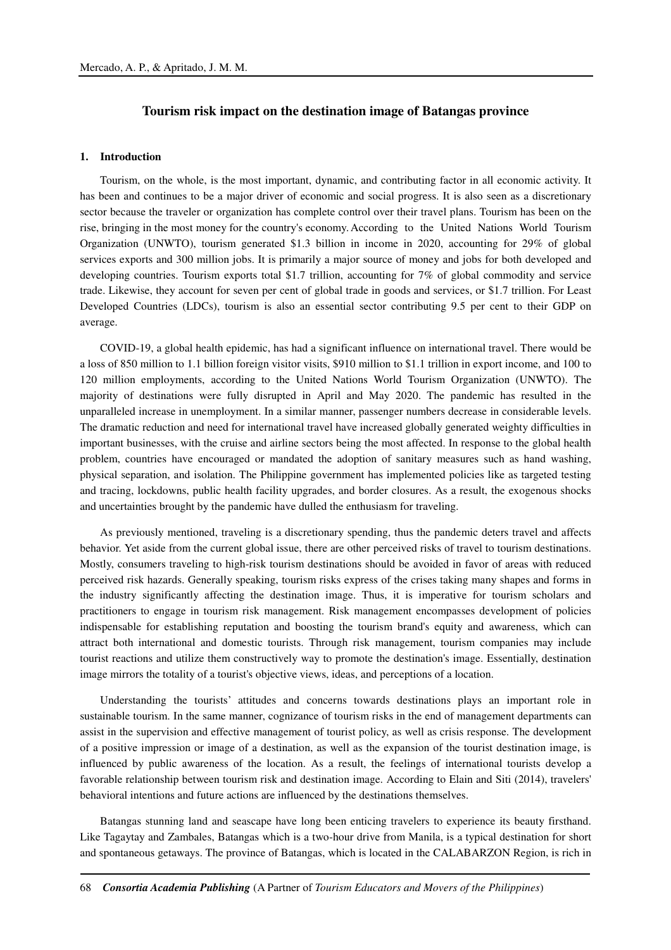# **Tourism risk impact on the destination image of Batangas province**

### **1. Introduction**

Tourism, on the whole, is the most important, dynamic, and contributing factor in all economic activity. It has been and continues to be a major driver of economic and social progress. It is also seen as a discretionary sector because the traveler or organization has complete control over their travel plans. Tourism has been on the rise, bringing in the most money for the country's economy. According to the United Nations World Tourism Organization (UNWTO), tourism generated \$1.3 billion in income in 2020, accounting for 29% of global services exports and 300 million jobs. It is primarily a major source of money and jobs for both developed and developing countries. Tourism exports total \$1.7 trillion, accounting for 7% of global commodity and service trade. Likewise, they account for seven per cent of global trade in goods and services, or \$1.7 trillion. For Least Developed Countries (LDCs), tourism is also an essential sector contributing 9.5 per cent to their GDP on average.

COVID-19, a global health epidemic, has had a significant influence on international travel. There would be a loss of 850 million to 1.1 billion foreign visitor visits, \$910 million to \$1.1 trillion in export income, and 100 to 120 million employments, according to the United Nations World Tourism Organization (UNWTO). The majority of destinations were fully disrupted in April and May 2020. The pandemic has resulted in the unparalleled increase in unemployment. In a similar manner, passenger numbers decrease in considerable levels. The dramatic reduction and need for international travel have increased globally generated weighty difficulties in important businesses, with the cruise and airline sectors being the most affected. In response to the global health problem, countries have encouraged or mandated the adoption of sanitary measures such as hand washing, physical separation, and isolation. The Philippine government has implemented policies like as targeted testing and tracing, lockdowns, public health facility upgrades, and border closures. As a result, the exogenous shocks and uncertainties brought by the pandemic have dulled the enthusiasm for traveling.

As previously mentioned, traveling is a discretionary spending, thus the pandemic deters travel and affects behavior. Yet aside from the current global issue, there are other perceived risks of travel to tourism destinations. Mostly, consumers traveling to high-risk tourism destinations should be avoided in favor of areas with reduced perceived risk hazards. Generally speaking, tourism risks express of the crises taking many shapes and forms in the industry significantly affecting the destination image. Thus, it is imperative for tourism scholars and practitioners to engage in tourism risk management. Risk management encompasses development of policies indispensable for establishing reputation and boosting the tourism brand's equity and awareness, which can attract both international and domestic tourists. Through risk management, tourism companies may include tourist reactions and utilize them constructively way to promote the destination's image. Essentially, destination image mirrors the totality of a tourist's objective views, ideas, and perceptions of a location.

Understanding the tourists' attitudes and concerns towards destinations plays an important role in sustainable tourism. In the same manner, cognizance of tourism risks in the end of management departments can assist in the supervision and effective management of tourist policy, as well as crisis response. The development of a positive impression or image of a destination, as well as the expansion of the tourist destination image, is influenced by public awareness of the location. As a result, the feelings of international tourists develop a favorable relationship between tourism risk and destination image. According to Elain and Siti (2014), travelers' behavioral intentions and future actions are influenced by the destinations themselves.

Batangas stunning land and seascape have long been enticing travelers to experience its beauty firsthand. Like Tagaytay and Zambales, Batangas which is a two-hour drive from Manila, is a typical destination for short and spontaneous getaways. The province of Batangas, which is located in the CALABARZON Region, is rich in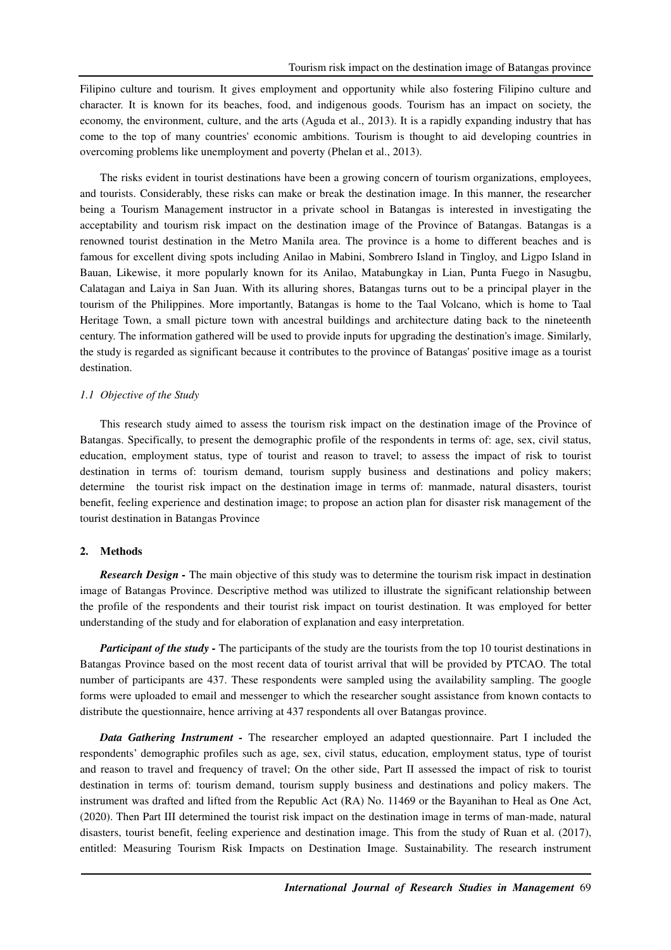Filipino culture and tourism. It gives employment and opportunity while also fostering Filipino culture and character. It is known for its beaches, food, and indigenous goods. Tourism has an impact on society, the economy, the environment, culture, and the arts (Aguda et al., 2013). It is a rapidly expanding industry that has come to the top of many countries' economic ambitions. Tourism is thought to aid developing countries in overcoming problems like unemployment and poverty (Phelan et al., 2013).

The risks evident in tourist destinations have been a growing concern of tourism organizations, employees, and tourists. Considerably, these risks can make or break the destination image. In this manner, the researcher being a Tourism Management instructor in a private school in Batangas is interested in investigating the acceptability and tourism risk impact on the destination image of the Province of Batangas. Batangas is a renowned tourist destination in the Metro Manila area. The province is a home to different beaches and is famous for excellent diving spots including Anilao in Mabini, Sombrero Island in Tingloy, and Ligpo Island in Bauan, Likewise, it more popularly known for its Anilao, Matabungkay in Lian, Punta Fuego in Nasugbu, Calatagan and Laiya in San Juan. With its alluring shores, Batangas turns out to be a principal player in the tourism of the Philippines. More importantly, Batangas is home to the Taal Volcano, which is home to Taal Heritage Town, a small picture town with ancestral buildings and architecture dating back to the nineteenth century. The information gathered will be used to provide inputs for upgrading the destination's image. Similarly, the study is regarded as significant because it contributes to the province of Batangas' positive image as a tourist destination.

### *1.1 Objective of the Study*

This research study aimed to assess the tourism risk impact on the destination image of the Province of Batangas. Specifically, to present the demographic profile of the respondents in terms of: age, sex, civil status, education, employment status, type of tourist and reason to travel; to assess the impact of risk to tourist destination in terms of: tourism demand, tourism supply business and destinations and policy makers; determine the tourist risk impact on the destination image in terms of: manmade, natural disasters, tourist benefit, feeling experience and destination image; to propose an action plan for disaster risk management of the tourist destination in Batangas Province

## **2. Methods**

*Research Design -* The main objective of this study was to determine the tourism risk impact in destination image of Batangas Province. Descriptive method was utilized to illustrate the significant relationship between the profile of the respondents and their tourist risk impact on tourist destination. It was employed for better understanding of the study and for elaboration of explanation and easy interpretation.

*Participant of the study -* The participants of the study are the tourists from the top 10 tourist destinations in Batangas Province based on the most recent data of tourist arrival that will be provided by PTCAO. The total number of participants are 437. These respondents were sampled using the availability sampling. The google forms were uploaded to email and messenger to which the researcher sought assistance from known contacts to distribute the questionnaire, hence arriving at 437 respondents all over Batangas province.

*Data Gathering Instrument -* The researcher employed an adapted questionnaire. Part I included the respondents' demographic profiles such as age, sex, civil status, education, employment status, type of tourist and reason to travel and frequency of travel; On the other side, Part II assessed the impact of risk to tourist destination in terms of: tourism demand, tourism supply business and destinations and policy makers. The instrument was drafted and lifted from the Republic Act (RA) No. 11469 or the Bayanihan to Heal as One Act, (2020). Then Part III determined the tourist risk impact on the destination image in terms of man-made, natural disasters, tourist benefit, feeling experience and destination image. This from the study of Ruan et al. (2017), entitled: Measuring Tourism Risk Impacts on Destination Image. Sustainability. The research instrument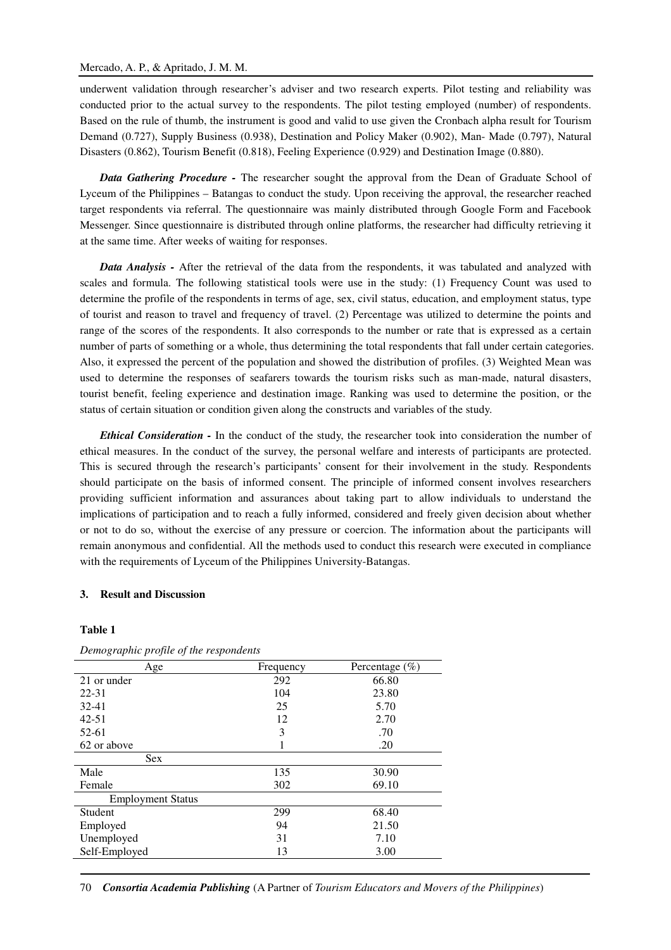underwent validation through researcher's adviser and two research experts. Pilot testing and reliability was conducted prior to the actual survey to the respondents. The pilot testing employed (number) of respondents. Based on the rule of thumb, the instrument is good and valid to use given the Cronbach alpha result for Tourism Demand (0.727), Supply Business (0.938), Destination and Policy Maker (0.902), Man- Made (0.797), Natural Disasters (0.862), Tourism Benefit (0.818), Feeling Experience (0.929) and Destination Image (0.880).

*Data Gathering Procedure -* The researcher sought the approval from the Dean of Graduate School of Lyceum of the Philippines – Batangas to conduct the study. Upon receiving the approval, the researcher reached target respondents via referral. The questionnaire was mainly distributed through Google Form and Facebook Messenger. Since questionnaire is distributed through online platforms, the researcher had difficulty retrieving it at the same time. After weeks of waiting for responses.

*Data Analysis -* After the retrieval of the data from the respondents, it was tabulated and analyzed with scales and formula. The following statistical tools were use in the study: (1) Frequency Count was used to determine the profile of the respondents in terms of age, sex, civil status, education, and employment status, type of tourist and reason to travel and frequency of travel. (2) Percentage was utilized to determine the points and range of the scores of the respondents. It also corresponds to the number or rate that is expressed as a certain number of parts of something or a whole, thus determining the total respondents that fall under certain categories. Also, it expressed the percent of the population and showed the distribution of profiles. (3) Weighted Mean was used to determine the responses of seafarers towards the tourism risks such as man-made, natural disasters, tourist benefit, feeling experience and destination image. Ranking was used to determine the position, or the status of certain situation or condition given along the constructs and variables of the study.

*Ethical Consideration -* In the conduct of the study, the researcher took into consideration the number of ethical measures. In the conduct of the survey, the personal welfare and interests of participants are protected. This is secured through the research's participants' consent for their involvement in the study. Respondents should participate on the basis of informed consent. The principle of informed consent involves researchers providing sufficient information and assurances about taking part to allow individuals to understand the implications of participation and to reach a fully informed, considered and freely given decision about whether or not to do so, without the exercise of any pressure or coercion. The information about the participants will remain anonymous and confidential. All the methods used to conduct this research were executed in compliance with the requirements of Lyceum of the Philippines University-Batangas.

### **3. Result and Discussion**

### **Table 1**

| Age                      | Frequency | Percentage $(\%)$ |
|--------------------------|-----------|-------------------|
| 21 or under              | 292       | 66.80             |
| 22-31                    | 104       | 23.80             |
| $32 - 41$                | 25        | 5.70              |
| $42 - 51$                | 12        | 2.70              |
| $52 - 61$                | 3         | .70               |
| 62 or above              |           | .20               |
| <b>Sex</b>               |           |                   |
| Male                     | 135       | 30.90             |
| Female                   | 302       | 69.10             |
| <b>Employment Status</b> |           |                   |
| Student                  | 299       | 68.40             |
| Employed                 | 94        | 21.50             |
| Unemployed               | 31        | 7.10              |
| Self-Employed            | 13        | 3.00              |

*Demographic profile of the respondents* 

70 *Consortia Academia Publishing* (A Partner of *Tourism Educators and Movers of the Philippines*)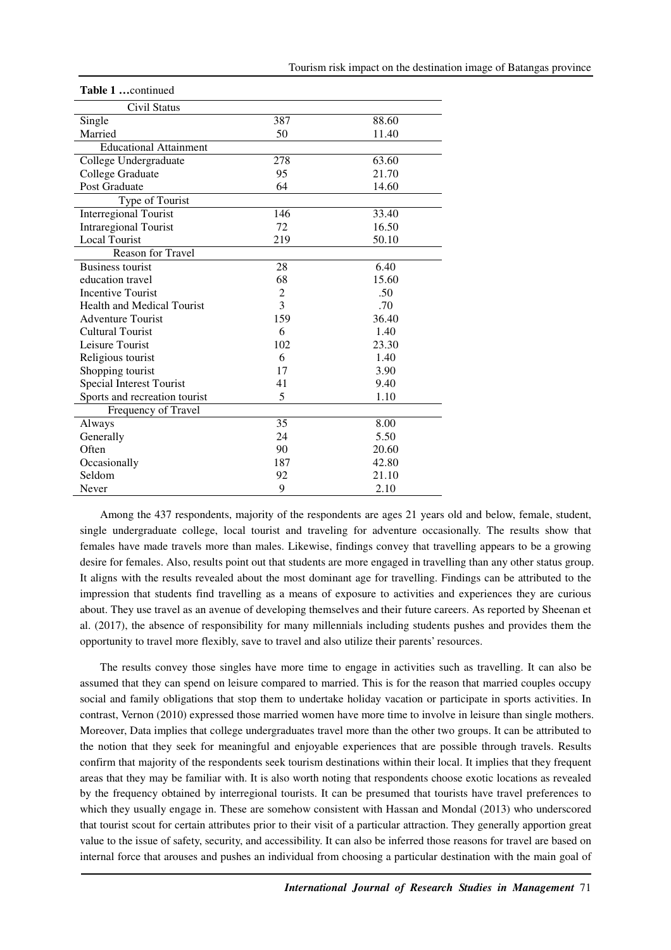| Civil Status                      |                |       |
|-----------------------------------|----------------|-------|
| Single                            | 387            | 88.60 |
| Married                           | 50             | 11.40 |
| <b>Educational Attainment</b>     |                |       |
| College Undergraduate             | 278            | 63.60 |
| College Graduate                  | 95             | 21.70 |
| Post Graduate                     | 64             | 14.60 |
| Type of Tourist                   |                |       |
| <b>Interregional Tourist</b>      | 146            | 33.40 |
| <b>Intraregional Tourist</b>      | 72             | 16.50 |
| <b>Local Tourist</b>              | 219            | 50.10 |
| Reason for Travel                 |                |       |
| <b>Business tourist</b>           | 28             | 6.40  |
| education travel                  | 68             | 15.60 |
| <b>Incentive Tourist</b>          | $\overline{c}$ | .50   |
| <b>Health and Medical Tourist</b> | 3              | .70   |
| <b>Adventure Tourist</b>          | 159            | 36.40 |
| <b>Cultural Tourist</b>           | 6              | 1.40  |
| Leisure Tourist                   | 102            | 23.30 |
| Religious tourist                 | 6              | 1.40  |
| Shopping tourist                  | 17             | 3.90  |
| Special Interest Tourist          | 41             | 9.40  |
| Sports and recreation tourist     | 5              | 1.10  |
| Frequency of Travel               |                |       |
| Always                            | 35             | 8.00  |
| Generally                         | 24             | 5.50  |
| Often                             | 90             | 20.60 |
| Occasionally                      | 187            | 42.80 |
| Seldom                            | 92             | 21.10 |
| Never                             | 9              | 2.10  |

**Table 1 …**continued

Among the 437 respondents, majority of the respondents are ages 21 years old and below, female, student, single undergraduate college, local tourist and traveling for adventure occasionally. The results show that females have made travels more than males. Likewise, findings convey that travelling appears to be a growing desire for females. Also, results point out that students are more engaged in travelling than any other status group. It aligns with the results revealed about the most dominant age for travelling. Findings can be attributed to the impression that students find travelling as a means of exposure to activities and experiences they are curious about. They use travel as an avenue of developing themselves and their future careers. As reported by Sheenan et al. (2017), the absence of responsibility for many millennials including students pushes and provides them the opportunity to travel more flexibly, save to travel and also utilize their parents' resources.

The results convey those singles have more time to engage in activities such as travelling. It can also be assumed that they can spend on leisure compared to married. This is for the reason that married couples occupy social and family obligations that stop them to undertake holiday vacation or participate in sports activities. In contrast, Vernon (2010) expressed those married women have more time to involve in leisure than single mothers. Moreover, Data implies that college undergraduates travel more than the other two groups. It can be attributed to the notion that they seek for meaningful and enjoyable experiences that are possible through travels. Results confirm that majority of the respondents seek tourism destinations within their local. It implies that they frequent areas that they may be familiar with. It is also worth noting that respondents choose exotic locations as revealed by the frequency obtained by interregional tourists. It can be presumed that tourists have travel preferences to which they usually engage in. These are somehow consistent with Hassan and Mondal (2013) who underscored that tourist scout for certain attributes prior to their visit of a particular attraction. They generally apportion great value to the issue of safety, security, and accessibility. It can also be inferred those reasons for travel are based on internal force that arouses and pushes an individual from choosing a particular destination with the main goal of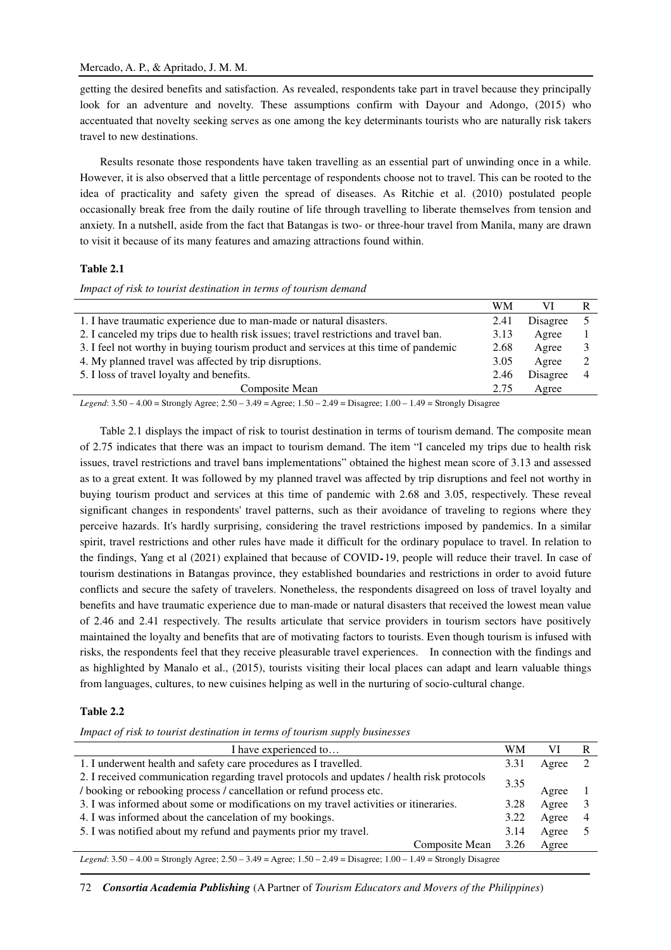getting the desired benefits and satisfaction. As revealed, respondents take part in travel because they principally look for an adventure and novelty. These assumptions confirm with Dayour and Adongo, (2015) who accentuated that novelty seeking serves as one among the key determinants tourists who are naturally risk takers travel to new destinations.

Results resonate those respondents have taken travelling as an essential part of unwinding once in a while. However, it is also observed that a little percentage of respondents choose not to travel. This can be rooted to the idea of practicality and safety given the spread of diseases. As Ritchie et al. (2010) postulated people occasionally break free from the daily routine of life through travelling to liberate themselves from tension and anxiety. In a nutshell, aside from the fact that Batangas is two- or three-hour travel from Manila, many are drawn to visit it because of its many features and amazing attractions found within.

# **Table 2.1**

*Impact of risk to tourist destination in terms of tourism demand* 

|                                                                                       | WM   |          |  |
|---------------------------------------------------------------------------------------|------|----------|--|
| 1. I have traumatic experience due to man-made or natural disasters.                  | 2.41 | Disagree |  |
| 2. I canceled my trips due to health risk issues; travel restrictions and travel ban. | 3.13 | Agree    |  |
| 3. I feel not worthy in buying tourism product and services at this time of pandemic  | 2.68 | Agree    |  |
| 4. My planned travel was affected by trip disruptions.                                | 3.05 | Agree    |  |
| 5. I loss of travel loyalty and benefits.                                             | 2.46 | Disagree |  |
| Composite Mean                                                                        | 2.75 | Agree    |  |
| $\sim$ $\sim$ $\sim$ $\sim$<br>$\sim$<br>$\sim$                                       |      |          |  |

*Legend*: 3.50 – 4.00 = Strongly Agree; 2.50 – 3.49 = Agree; 1.50 – 2.49 = Disagree; 1.00 – 1.49 = Strongly Disagree

Table 2.1 displays the impact of risk to tourist destination in terms of tourism demand. The composite mean of 2.75 indicates that there was an impact to tourism demand. The item "I canceled my trips due to health risk issues, travel restrictions and travel bans implementations" obtained the highest mean score of 3.13 and assessed as to a great extent. It was followed by my planned travel was affected by trip disruptions and feel not worthy in buying tourism product and services at this time of pandemic with 2.68 and 3.05, respectively. These reveal significant changes in respondents' travel patterns, such as their avoidance of traveling to regions where they perceive hazards. It's hardly surprising, considering the travel restrictions imposed by pandemics. In a similar spirit, travel restrictions and other rules have made it difficult for the ordinary populace to travel. In relation to the findings, Yang et al (2021) explained that because of COVID-19, people will reduce their travel. In case of tourism destinations in Batangas province, they established boundaries and restrictions in order to avoid future conflicts and secure the safety of travelers. Nonetheless, the respondents disagreed on loss of travel loyalty and benefits and have traumatic experience due to man-made or natural disasters that received the lowest mean value of 2.46 and 2.41 respectively. The results articulate that service providers in tourism sectors have positively maintained the loyalty and benefits that are of motivating factors to tourists. Even though tourism is infused with risks, the respondents feel that they receive pleasurable travel experiences. In connection with the findings and as highlighted by Manalo et al., (2015), tourists visiting their local places can adapt and learn valuable things from languages, cultures, to new cuisines helping as well in the nurturing of socio-cultural change.

# **Table 2.2**

*Impact of risk to tourist destination in terms of tourism supply businesses* 

| I have experienced to                                                                                                      | WМ   |       | R |
|----------------------------------------------------------------------------------------------------------------------------|------|-------|---|
| 1. I underwent health and safety care procedures as I travelled.                                                           | 3.31 | Agree |   |
| 2. I received communication regarding travel protocols and updates / health risk protocols                                 | 3.35 |       |   |
| / booking or rebooking process / cancellation or refund process etc.                                                       |      | Agree |   |
| 3. I was informed about some or modifications on my travel activities or itineraries.                                      |      | Agree |   |
| 4. I was informed about the cancelation of my bookings.                                                                    | 3.22 | Agree | 4 |
| 5. I was notified about my refund and payments prior my travel.                                                            |      | Agree |   |
| Composite Mean                                                                                                             | 3.26 | Agree |   |
| Legend: $3.50 - 4.00 =$ Strongly Agree; $2.50 - 3.49 =$ Agree; $1.50 - 2.49 =$ Disagree; $1.00 - 1.49 =$ Strongly Disagree |      |       |   |

72 *Consortia Academia Publishing* (A Partner of *Tourism Educators and Movers of the Philippines*)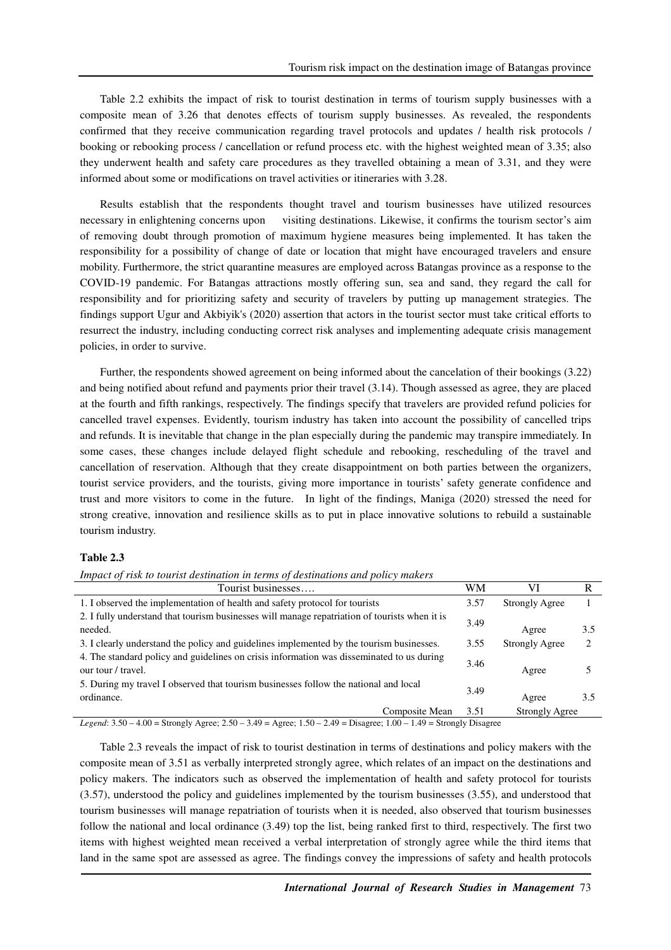Table 2.2 exhibits the impact of risk to tourist destination in terms of tourism supply businesses with a composite mean of 3.26 that denotes effects of tourism supply businesses. As revealed, the respondents confirmed that they receive communication regarding travel protocols and updates / health risk protocols / booking or rebooking process / cancellation or refund process etc. with the highest weighted mean of 3.35; also they underwent health and safety care procedures as they travelled obtaining a mean of 3.31, and they were informed about some or modifications on travel activities or itineraries with 3.28.

Results establish that the respondents thought travel and tourism businesses have utilized resources necessary in enlightening concerns upon visiting destinations. Likewise, it confirms the tourism sector's aim of removing doubt through promotion of maximum hygiene measures being implemented. It has taken the responsibility for a possibility of change of date or location that might have encouraged travelers and ensure mobility. Furthermore, the strict quarantine measures are employed across Batangas province as a response to the COVID-19 pandemic. For Batangas attractions mostly offering sun, sea and sand, they regard the call for responsibility and for prioritizing safety and security of travelers by putting up management strategies. The findings support Ugur and Akbiyik's (2020) assertion that actors in the tourist sector must take critical efforts to resurrect the industry, including conducting correct risk analyses and implementing adequate crisis management policies, in order to survive.

Further, the respondents showed agreement on being informed about the cancelation of their bookings (3.22) and being notified about refund and payments prior their travel (3.14). Though assessed as agree, they are placed at the fourth and fifth rankings, respectively. The findings specify that travelers are provided refund policies for cancelled travel expenses. Evidently, tourism industry has taken into account the possibility of cancelled trips and refunds. It is inevitable that change in the plan especially during the pandemic may transpire immediately. In some cases, these changes include delayed flight schedule and rebooking, rescheduling of the travel and cancellation of reservation. Although that they create disappointment on both parties between the organizers, tourist service providers, and the tourists, giving more importance in tourists' safety generate confidence and trust and more visitors to come in the future. In light of the findings, Maniga (2020) stressed the need for strong creative, innovation and resilience skills as to put in place innovative solutions to rebuild a sustainable tourism industry.

#### **Table 2.3**

*Impact of risk to tourist destination in terms of destinations and policy makers* 

| Tourist businesses                                                                                                                                                                                                           | WM   | VI                    |     |
|------------------------------------------------------------------------------------------------------------------------------------------------------------------------------------------------------------------------------|------|-----------------------|-----|
| 1. I observed the implementation of health and safety protocol for tourists                                                                                                                                                  | 3.57 | <b>Strongly Agree</b> |     |
| 2. I fully understand that tourism businesses will manage repatriation of tourists when it is<br>needed.                                                                                                                     |      | Agree                 | 3.5 |
| 3. I clearly understand the policy and guidelines implemented by the tourism businesses.                                                                                                                                     |      | <b>Strongly Agree</b> |     |
| 4. The standard policy and guidelines on crisis information was disseminated to us during<br>our tour / travel.                                                                                                              | 3.46 | Agree                 |     |
| 5. During my travel I observed that tourism businesses follow the national and local<br>ordinance.                                                                                                                           | 3.49 | Agree                 | 3.5 |
| Composite Mean<br>$\mathbf{r}$<br>$\sqrt{2}$ $\approx$ $\sqrt{2}$<br>$\overline{100}$ $\overline{0}$ $\overline{11}$<br>$\sim$ $\sim$ $\sim$<br>$\sim$ 10 $\sim$ 1<br>$\sim$ $\sim$ $\sim$<br>$1.00 \t1.00 \t0.1 \t\h\n1.01$ | 3.51 | Strongly Agree        |     |

*Legend*: 3.50 – 4.00 = Strongly Agree; 2.50 – 3.49 = Agree; 1.50 – 2.49 = Disagree; 1.00 – 1.49 = Strongly Disagree

Table 2.3 reveals the impact of risk to tourist destination in terms of destinations and policy makers with the composite mean of 3.51 as verbally interpreted strongly agree, which relates of an impact on the destinations and policy makers. The indicators such as observed the implementation of health and safety protocol for tourists (3.57), understood the policy and guidelines implemented by the tourism businesses (3.55), and understood that tourism businesses will manage repatriation of tourists when it is needed, also observed that tourism businesses follow the national and local ordinance (3.49) top the list, being ranked first to third, respectively. The first two items with highest weighted mean received a verbal interpretation of strongly agree while the third items that land in the same spot are assessed as agree. The findings convey the impressions of safety and health protocols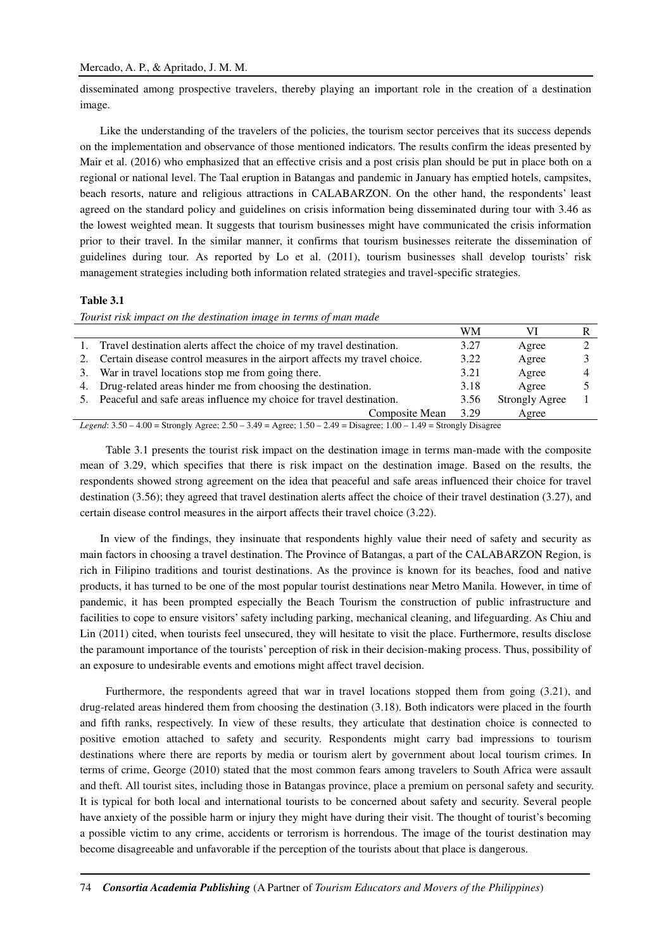disseminated among prospective travelers, thereby playing an important role in the creation of a destination image.

Like the understanding of the travelers of the policies, the tourism sector perceives that its success depends on the implementation and observance of those mentioned indicators. The results confirm the ideas presented by Mair et al. (2016) who emphasized that an effective crisis and a post crisis plan should be put in place both on a regional or national level. The Taal eruption in Batangas and pandemic in January has emptied hotels, campsites, beach resorts, nature and religious attractions in CALABARZON. On the other hand, the respondents' least agreed on the standard policy and guidelines on crisis information being disseminated during tour with 3.46 as the lowest weighted mean. It suggests that tourism businesses might have communicated the crisis information prior to their travel. In the similar manner, it confirms that tourism businesses reiterate the dissemination of guidelines during tour. As reported by Lo et al. (2011), tourism businesses shall develop tourists' risk management strategies including both information related strategies and travel-specific strategies.

#### **Table 3.1**

*Tourist risk impact on the destination image in terms of man made* 

|    |                                                                           | WМ   |                       |  |
|----|---------------------------------------------------------------------------|------|-----------------------|--|
|    | 1. Travel destination alerts affect the choice of my travel destination.  | 3.27 | Agree                 |  |
| 2. | Certain disease control measures in the airport affects my travel choice. | 3.22 | Agree                 |  |
|    | 3. War in travel locations stop me from going there.                      | 3.21 | Agree                 |  |
|    | 4. Drug-related areas hinder me from choosing the destination.            | 3.18 | Agree                 |  |
|    | 5. Peaceful and safe areas influence my choice for travel destination.    | 3.56 | <b>Strongly Agree</b> |  |
|    | Composite Mean                                                            | 3.29 | Agree                 |  |

*Legend*: 3.50 – 4.00 = Strongly Agree; 2.50 – 3.49 = Agree; 1.50 – 2.49 = Disagree; 1.00 – 1.49 = Strongly Disagree

 Table 3.1 presents the tourist risk impact on the destination image in terms man-made with the composite mean of 3.29, which specifies that there is risk impact on the destination image. Based on the results, the respondents showed strong agreement on the idea that peaceful and safe areas influenced their choice for travel destination (3.56); they agreed that travel destination alerts affect the choice of their travel destination (3.27), and certain disease control measures in the airport affects their travel choice (3.22).

In view of the findings, they insinuate that respondents highly value their need of safety and security as main factors in choosing a travel destination. The Province of Batangas, a part of the CALABARZON Region, is rich in Filipino traditions and tourist destinations. As the province is known for its beaches, food and native products, it has turned to be one of the most popular tourist destinations near Metro Manila. However, in time of pandemic, it has been prompted especially the Beach Tourism the construction of public infrastructure and facilities to cope to ensure visitors' safety including parking, mechanical cleaning, and lifeguarding. As Chiu and Lin (2011) cited, when tourists feel unsecured, they will hesitate to visit the place. Furthermore, results disclose the paramount importance of the tourists' perception of risk in their decision-making process. Thus, possibility of an exposure to undesirable events and emotions might affect travel decision.

 Furthermore, the respondents agreed that war in travel locations stopped them from going (3.21), and drug-related areas hindered them from choosing the destination (3.18). Both indicators were placed in the fourth and fifth ranks, respectively. In view of these results, they articulate that destination choice is connected to positive emotion attached to safety and security. Respondents might carry bad impressions to tourism destinations where there are reports by media or tourism alert by government about local tourism crimes. In terms of crime, George (2010) stated that the most common fears among travelers to South Africa were assault and theft. All tourist sites, including those in Batangas province, place a premium on personal safety and security. It is typical for both local and international tourists to be concerned about safety and security. Several people have anxiety of the possible harm or injury they might have during their visit. The thought of tourist's becoming a possible victim to any crime, accidents or terrorism is horrendous. The image of the tourist destination may become disagreeable and unfavorable if the perception of the tourists about that place is dangerous.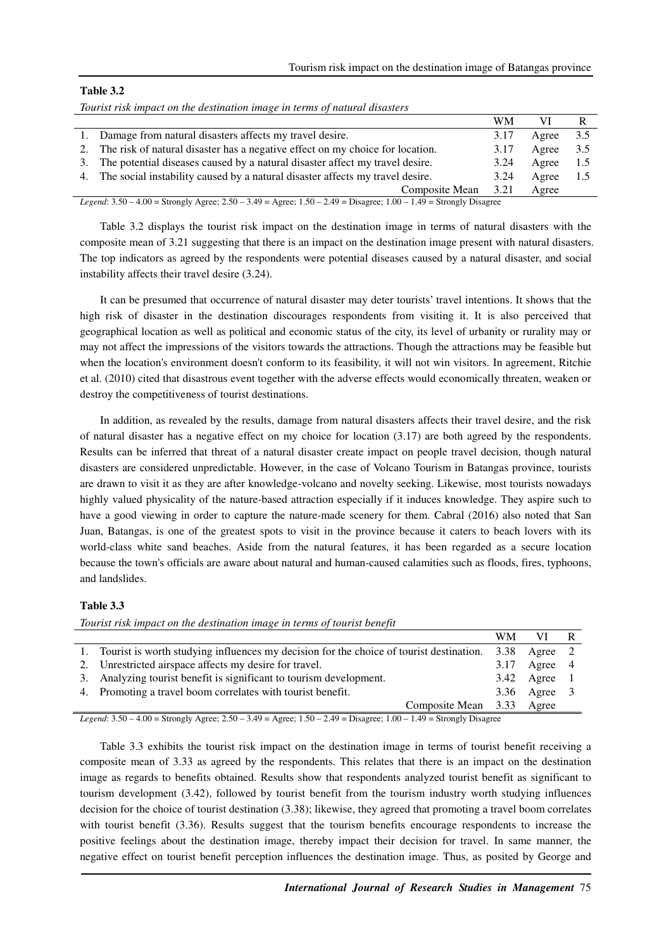### **Table 3.2**

*Tourist risk impact on the destination image in terms of natural disasters* 

|    |                                                                                                                            | WM   |       |     |  |
|----|----------------------------------------------------------------------------------------------------------------------------|------|-------|-----|--|
|    | 1. Damage from natural disasters affects my travel desire.                                                                 | 3.17 | Agree | 3.5 |  |
|    | The risk of natural disaster has a negative effect on my choice for location.                                              | 3.17 | Agree | 3.5 |  |
| 3. | The potential diseases caused by a natural disaster affect my travel desire.                                               | 3.24 | Agree | 1.5 |  |
|    | 4. The social instability caused by a natural disaster affects my travel desire.                                           | 3.24 | Agree | 1.5 |  |
|    | Composite Mean                                                                                                             | 3.21 | Agree |     |  |
|    | Legend: $3.50 - 4.00 =$ Strongly Agree; $2.50 - 3.49 =$ Agree; $1.50 - 2.49 =$ Disagree; $1.00 - 1.49 =$ Strongly Disagree |      |       |     |  |

Table 3.2 displays the tourist risk impact on the destination image in terms of natural disasters with the composite mean of 3.21 suggesting that there is an impact on the destination image present with natural disasters. The top indicators as agreed by the respondents were potential diseases caused by a natural disaster, and social instability affects their travel desire (3.24).

It can be presumed that occurrence of natural disaster may deter tourists' travel intentions. It shows that the high risk of disaster in the destination discourages respondents from visiting it. It is also perceived that geographical location as well as political and economic status of the city, its level of urbanity or rurality may or may not affect the impressions of the visitors towards the attractions. Though the attractions may be feasible but when the location's environment doesn't conform to its feasibility, it will not win visitors. In agreement, Ritchie et al. (2010) cited that disastrous event together with the adverse effects would economically threaten, weaken or destroy the competitiveness of tourist destinations.

In addition, as revealed by the results, damage from natural disasters affects their travel desire, and the risk of natural disaster has a negative effect on my choice for location (3.17) are both agreed by the respondents. Results can be inferred that threat of a natural disaster create impact on people travel decision, though natural disasters are considered unpredictable. However, in the case of Volcano Tourism in Batangas province, tourists are drawn to visit it as they are after knowledge-volcano and novelty seeking. Likewise, most tourists nowadays highly valued physicality of the nature-based attraction especially if it induces knowledge. They aspire such to have a good viewing in order to capture the nature-made scenery for them. Cabral (2016) also noted that San Juan, Batangas, is one of the greatest spots to visit in the province because it caters to beach lovers with its world-class white sand beaches. Aside from the natural features, it has been regarded as a secure location because the town's officials are aware about natural and human-caused calamities such as floods, fires, typhoons, and landslides.

# **Table 3.3**

*Tourist risk impact on the destination image in terms of tourist benefit*  WM VI R 1. Tourist is worth studying influences my decision for the choice of tourist destination. 3.38 Agree 2 2. Unrestricted airspace affects my desire for travel. 3.17 Agree 4 3. Analyzing tourist benefit is significant to tourism development. 3.42 Agree 1 4. Promoting a travel boom correlates with tourist benefit. 3.36 Agree 3 Composite Mean 3.33 Agree

*Legend*: 3.50 – 4.00 = Strongly Agree; 2.50 – 3.49 = Agree; 1.50 – 2.49 = Disagree; 1.00 – 1.49 = Strongly Disagree

Table 3.3 exhibits the tourist risk impact on the destination image in terms of tourist benefit receiving a composite mean of 3.33 as agreed by the respondents. This relates that there is an impact on the destination image as regards to benefits obtained. Results show that respondents analyzed tourist benefit as significant to tourism development (3.42), followed by tourist benefit from the tourism industry worth studying influences decision for the choice of tourist destination (3.38); likewise, they agreed that promoting a travel boom correlates with tourist benefit (3.36). Results suggest that the tourism benefits encourage respondents to increase the positive feelings about the destination image, thereby impact their decision for travel. In same manner, the negative effect on tourist benefit perception influences the destination image. Thus, as posited by George and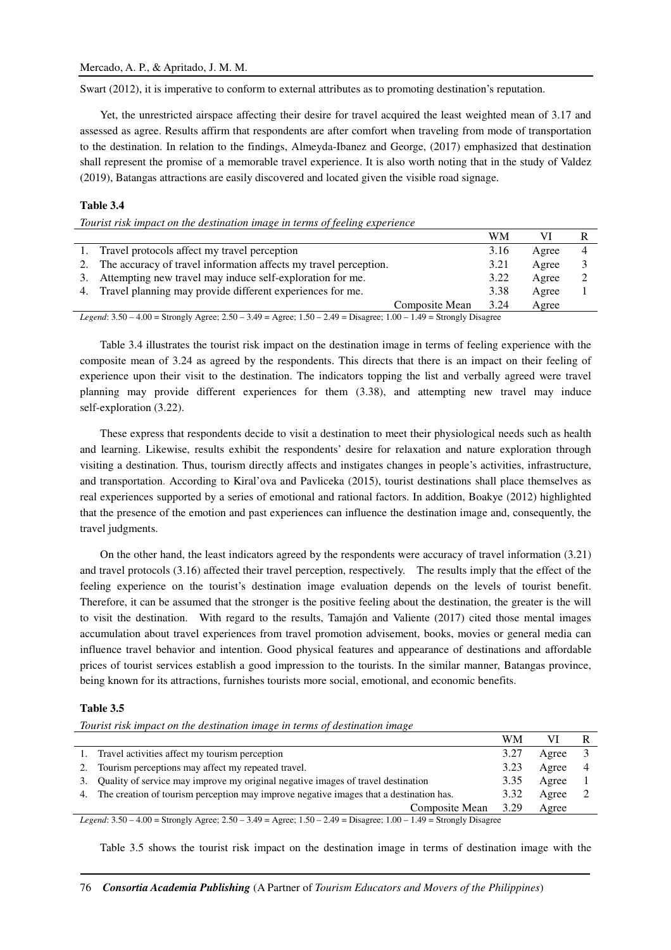Swart (2012), it is imperative to conform to external attributes as to promoting destination's reputation.

Yet, the unrestricted airspace affecting their desire for travel acquired the least weighted mean of 3.17 and assessed as agree. Results affirm that respondents are after comfort when traveling from mode of transportation to the destination. In relation to the findings, Almeyda-Ibanez and George, (2017) emphasized that destination shall represent the promise of a memorable travel experience. It is also worth noting that in the study of Valdez (2019), Batangas attractions are easily discovered and located given the visible road signage.

# **Table 3.4**

*Tourist risk impact on the destination image in terms of feeling experience* 

|    |                                                                                                                                                                                                                                                                                 |                | WM   |       |  |
|----|---------------------------------------------------------------------------------------------------------------------------------------------------------------------------------------------------------------------------------------------------------------------------------|----------------|------|-------|--|
|    | 1. Travel protocols affect my travel perception                                                                                                                                                                                                                                 |                | 3.16 | Agree |  |
| 2. | The accuracy of travel information affects my travel perception.                                                                                                                                                                                                                |                | 3.21 | Agree |  |
| 3. | Attempting new travel may induce self-exploration for me.                                                                                                                                                                                                                       |                | 3.22 | Agree |  |
|    | 4. Travel planning may provide different experiences for me.                                                                                                                                                                                                                    |                | 3.38 | Agree |  |
|    |                                                                                                                                                                                                                                                                                 | Composite Mean | 3.24 | Agree |  |
|    | $T_{11}$ , $T_{21}$ , $T_{31}$ , $T_{41}$ , $T_{51}$ , $T_{51}$ , $T_{51}$ , $T_{51}$ , $T_{51}$ , $T_{51}$ , $T_{51}$ , $T_{51}$ , $T_{51}$ , $T_{51}$ , $T_{51}$ , $T_{51}$ , $T_{51}$ , $T_{51}$ , $T_{51}$ , $T_{51}$ , $T_{51}$ , $T_{51}$ , $T_{51}$ , $T_{51}$ , $T_{51$ |                |      |       |  |

*Legend*: 3.50 – 4.00 = Strongly Agree; 2.50 – 3.49 = Agree; 1.50 – 2.49 = Disagree; 1.00 – 1.49 = Strongly Disagree

Table 3.4 illustrates the tourist risk impact on the destination image in terms of feeling experience with the composite mean of 3.24 as agreed by the respondents. This directs that there is an impact on their feeling of experience upon their visit to the destination. The indicators topping the list and verbally agreed were travel planning may provide different experiences for them (3.38), and attempting new travel may induce self-exploration (3.22).

These express that respondents decide to visit a destination to meet their physiological needs such as health and learning. Likewise, results exhibit the respondents' desire for relaxation and nature exploration through visiting a destination. Thus, tourism directly affects and instigates changes in people's activities, infrastructure, and transportation. According to Kiral'ova and Pavliceka (2015), tourist destinations shall place themselves as real experiences supported by a series of emotional and rational factors. In addition, Boakye (2012) highlighted that the presence of the emotion and past experiences can influence the destination image and, consequently, the travel judgments.

On the other hand, the least indicators agreed by the respondents were accuracy of travel information (3.21) and travel protocols (3.16) affected their travel perception, respectively. The results imply that the effect of the feeling experience on the tourist's destination image evaluation depends on the levels of tourist benefit. Therefore, it can be assumed that the stronger is the positive feeling about the destination, the greater is the will to visit the destination. With regard to the results, Tamajón and Valiente (2017) cited those mental images accumulation about travel experiences from travel promotion advisement, books, movies or general media can influence travel behavior and intention. Good physical features and appearance of destinations and affordable prices of tourist services establish a good impression to the tourists. In the similar manner, Batangas province, being known for its attractions, furnishes tourists more social, emotional, and economic benefits.

### **Table 3.5**

*Tourist risk impact on the destination image in terms of destination image* 

|    |                                                                                                                            | WМ   |       |  |
|----|----------------------------------------------------------------------------------------------------------------------------|------|-------|--|
| 1. | Travel activities affect my tourism perception                                                                             | 3.27 | Agree |  |
| 2. | Tourism perceptions may affect my repeated travel.                                                                         | 3.23 | Agree |  |
| 3. | Quality of service may improve my original negative images of travel destination                                           | 3.35 | Agree |  |
|    | 4. The creation of tourism perception may improve negative images that a destination has.                                  | 3.32 | Agree |  |
|    | Composite Mean                                                                                                             | 3.29 | Agree |  |
|    | Legend: $3.50 - 4.00 =$ Strongly Agree; $2.50 - 3.49 =$ Agree; $1.50 - 2.49 =$ Disagree; $1.00 - 1.49 =$ Strongly Disagree |      |       |  |

Table 3.5 shows the tourist risk impact on the destination image in terms of destination image with the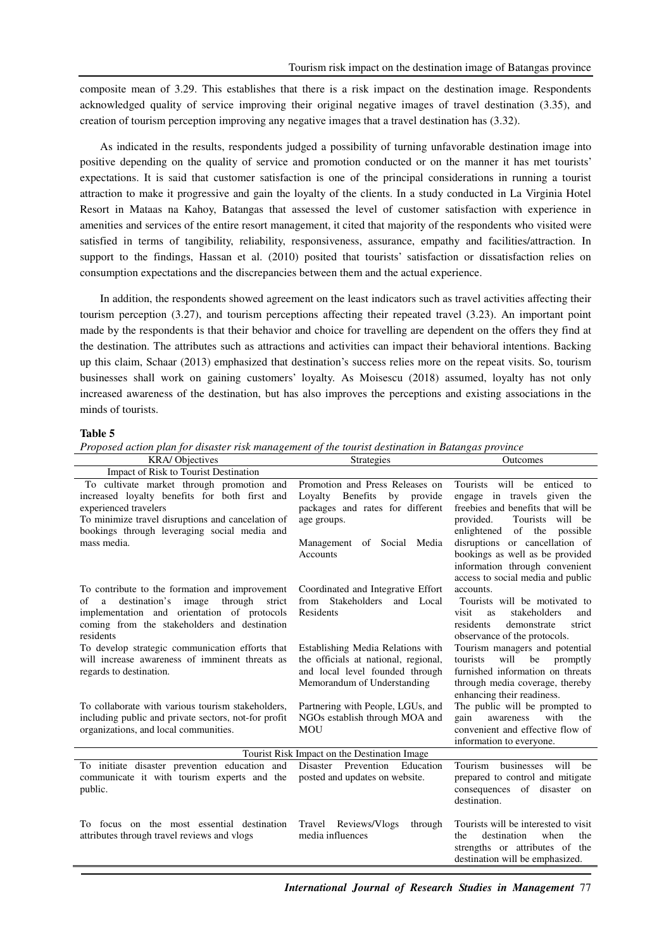composite mean of 3.29. This establishes that there is a risk impact on the destination image. Respondents acknowledged quality of service improving their original negative images of travel destination (3.35), and creation of tourism perception improving any negative images that a travel destination has (3.32).

As indicated in the results, respondents judged a possibility of turning unfavorable destination image into positive depending on the quality of service and promotion conducted or on the manner it has met tourists' expectations. It is said that customer satisfaction is one of the principal considerations in running a tourist attraction to make it progressive and gain the loyalty of the clients. In a study conducted in La Virginia Hotel Resort in Mataas na Kahoy, Batangas that assessed the level of customer satisfaction with experience in amenities and services of the entire resort management, it cited that majority of the respondents who visited were satisfied in terms of tangibility, reliability, responsiveness, assurance, empathy and facilities/attraction. In support to the findings, Hassan et al. (2010) posited that tourists' satisfaction or dissatisfaction relies on consumption expectations and the discrepancies between them and the actual experience.

In addition, the respondents showed agreement on the least indicators such as travel activities affecting their tourism perception (3.27), and tourism perceptions affecting their repeated travel (3.23). An important point made by the respondents is that their behavior and choice for travelling are dependent on the offers they find at the destination. The attributes such as attractions and activities can impact their behavioral intentions. Backing up this claim, Schaar (2013) emphasized that destination's success relies more on the repeat visits. So, tourism businesses shall work on gaining customers' loyalty. As Moisescu (2018) assumed, loyalty has not only increased awareness of the destination, but has also improves the perceptions and existing associations in the minds of tourists.

### **Table 5**

|  | Proposed action plan for disaster risk management of the tourist destination in Batangas province |
|--|---------------------------------------------------------------------------------------------------|
|--|---------------------------------------------------------------------------------------------------|

| <b>KRA/Objectives</b>                                                                                                                                                                                                                                                   | <b>Strategies</b>                                                                                                                                                                  | Outcomes                                                                                                                                                                                                                                                                      |
|-------------------------------------------------------------------------------------------------------------------------------------------------------------------------------------------------------------------------------------------------------------------------|------------------------------------------------------------------------------------------------------------------------------------------------------------------------------------|-------------------------------------------------------------------------------------------------------------------------------------------------------------------------------------------------------------------------------------------------------------------------------|
| Impact of Risk to Tourist Destination                                                                                                                                                                                                                                   |                                                                                                                                                                                    |                                                                                                                                                                                                                                                                               |
| To cultivate market through promotion and<br>increased loyalty benefits for both first and<br>experienced travelers<br>To minimize travel disruptions and cancelation of<br>bookings through leveraging social media and<br>mass media.                                 | Promotion and Press Releases on<br><b>Benefits</b><br>Loyalty<br>by<br>provide<br>packages and rates for different<br>age groups.<br>Management of Social Media<br><b>Accounts</b> | Tourists will be<br>enticed to<br>engage in travels given the<br>freebies and benefits that will be<br>Tourists<br>will be<br>provided.<br>enlightened of the possible<br>disruptions or cancellation of<br>bookings as well as be provided<br>information through convenient |
| To contribute to the formation and improvement<br>destination's<br>image<br>through<br>οf<br>a<br>strict<br>implementation and orientation of protocols<br>coming from the stakeholders and destination<br>residents<br>To develop strategic communication efforts that | Coordinated and Integrative Effort<br>Stakeholders<br>from<br>and Local<br>Residents<br>Establishing Media Relations with                                                          | access to social media and public<br>accounts.<br>Tourists will be motivated to<br>visit<br>stakeholders<br>as<br>and<br>residents<br>demonstrate<br>strict<br>observance of the protocols.<br>Tourism managers and potential                                                 |
| will increase awareness of imminent threats as<br>regards to destination.<br>To collaborate with various tourism stakeholders,                                                                                                                                          | the officials at national, regional,<br>and local level founded through<br>Memorandum of Understanding<br>Partnering with People, LGUs, and                                        | will<br>tourists<br>promptly<br>be<br>furnished information on threats<br>through media coverage, thereby<br>enhancing their readiness.<br>The public will be prompted to                                                                                                     |
| including public and private sectors, not-for profit<br>organizations, and local communities.                                                                                                                                                                           | NGOs establish through MOA and<br><b>MOU</b>                                                                                                                                       | with<br>gain<br>awareness<br>the<br>convenient and effective flow of<br>information to everyone.                                                                                                                                                                              |
|                                                                                                                                                                                                                                                                         | Tourist Risk Impact on the Destination Image                                                                                                                                       |                                                                                                                                                                                                                                                                               |
| To initiate disaster prevention education and<br>communicate it with tourism experts and the<br>public.                                                                                                                                                                 | Disaster Prevention Education<br>posted and updates on website.                                                                                                                    | Tourism businesses<br>will<br>he<br>prepared to control and mitigate<br>consequences of disaster on<br>destination.                                                                                                                                                           |
| To focus on the most essential destination<br>attributes through travel reviews and vlogs                                                                                                                                                                               | Travel Reviews/Vlogs<br>through<br>media influences                                                                                                                                | Tourists will be interested to visit<br>destination<br>when<br>the<br>the<br>strengths or attributes of the<br>destination will be emphasized.                                                                                                                                |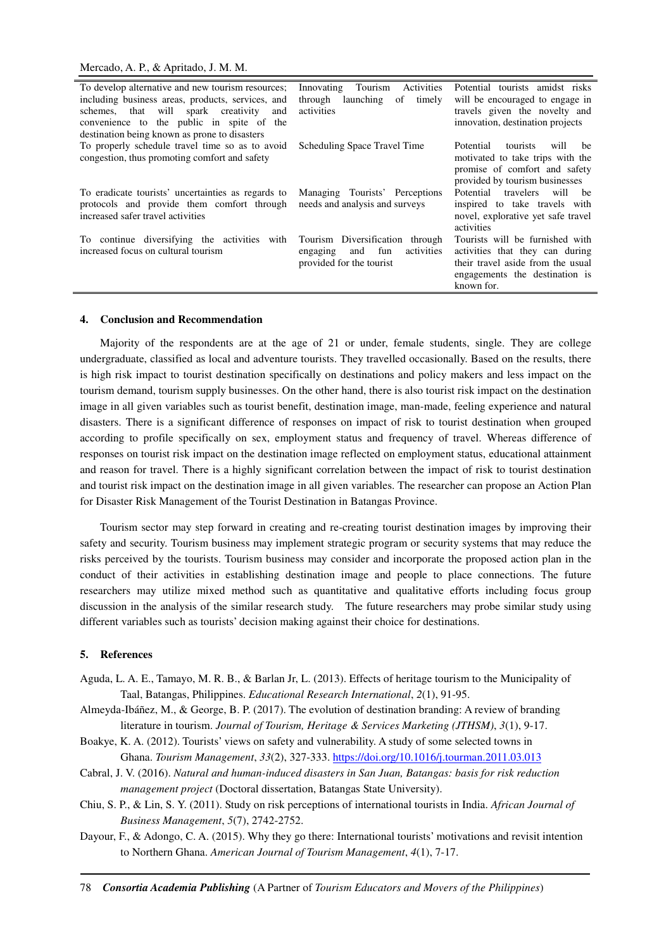| To develop alternative and new tourism resources;  | Activities<br>Innovating<br>Tourism  | Potential tourists amidst risks                |
|----------------------------------------------------|--------------------------------------|------------------------------------------------|
| including business areas, products, services, and  | of<br>through<br>launching<br>timely | will be encouraged to engage in                |
| schemes, that will spark creativity<br>and         | activities                           | travels given the novelty and                  |
| convenience to the public in spite of the          |                                      | innovation, destination projects               |
|                                                    |                                      |                                                |
| destination being known as prone to disasters      |                                      |                                                |
| To properly schedule travel time so as to avoid    | Scheduling Space Travel Time         | Potential<br>tourists<br>will<br><sub>be</sub> |
| congestion, thus promoting comfort and safety      |                                      | motivated to take trips with the               |
|                                                    |                                      | promise of comfort and safety                  |
|                                                    |                                      |                                                |
|                                                    |                                      | provided by tourism businesses                 |
| To eradicate tourists' uncertainties as regards to | Managing Tourists' Perceptions       | travelers will be<br>Potential                 |
| protocols and provide them comfort through         | needs and analysis and surveys       | inspired to take travels with                  |
|                                                    |                                      |                                                |
| increased safer travel activities                  |                                      | novel, explorative yet safe travel             |
|                                                    |                                      | activities                                     |
| To continue diversifying the activities with       | Tourism Diversification<br>through   | Tourists will be furnished with                |
| increased focus on cultural tourism                | activities<br>fun<br>and<br>engaging | activities that they can during                |
|                                                    |                                      |                                                |
|                                                    | provided for the tourist             | their travel aside from the usual              |
|                                                    |                                      | engagements the destination is                 |
|                                                    |                                      | known for.                                     |
|                                                    |                                      |                                                |

#### **4. Conclusion and Recommendation**

Majority of the respondents are at the age of 21 or under, female students, single. They are college undergraduate, classified as local and adventure tourists. They travelled occasionally. Based on the results, there is high risk impact to tourist destination specifically on destinations and policy makers and less impact on the tourism demand, tourism supply businesses. On the other hand, there is also tourist risk impact on the destination image in all given variables such as tourist benefit, destination image, man-made, feeling experience and natural disasters. There is a significant difference of responses on impact of risk to tourist destination when grouped according to profile specifically on sex, employment status and frequency of travel. Whereas difference of responses on tourist risk impact on the destination image reflected on employment status, educational attainment and reason for travel. There is a highly significant correlation between the impact of risk to tourist destination and tourist risk impact on the destination image in all given variables. The researcher can propose an Action Plan for Disaster Risk Management of the Tourist Destination in Batangas Province.

Tourism sector may step forward in creating and re-creating tourist destination images by improving their safety and security. Tourism business may implement strategic program or security systems that may reduce the risks perceived by the tourists. Tourism business may consider and incorporate the proposed action plan in the conduct of their activities in establishing destination image and people to place connections. The future researchers may utilize mixed method such as quantitative and qualitative efforts including focus group discussion in the analysis of the similar research study. The future researchers may probe similar study using different variables such as tourists' decision making against their choice for destinations.

#### **5. References**

- Aguda, L. A. E., Tamayo, M. R. B., & Barlan Jr, L. (2013). Effects of heritage tourism to the Municipality of Taal, Batangas, Philippines. *Educational Research International*, *2*(1), 91-95.
- Almeyda-Ibáñez, M., & George, B. P. (2017). The evolution of destination branding: A review of branding literature in tourism. *Journal of Tourism, Heritage & Services Marketing (JTHSM)*, *3*(1), 9-17.
- Boakye, K. A. (2012). Tourists' views on safety and vulnerability. A study of some selected towns in Ghana. *Tourism Management*, *33*(2), 327-333. https://doi.org/10.1016/j.tourman.2011.03.013
- Cabral, J. V. (2016). *Natural and human-induced disasters in San Juan, Batangas: basis for risk reduction management project* (Doctoral dissertation, Batangas State University).
- Chiu, S. P., & Lin, S. Y. (2011). Study on risk perceptions of international tourists in India. *African Journal of Business Management*, *5*(7), 2742-2752.
- Dayour, F., & Adongo, C. A. (2015). Why they go there: International tourists' motivations and revisit intention to Northern Ghana. *American Journal of Tourism Management*, *4*(1), 7-17.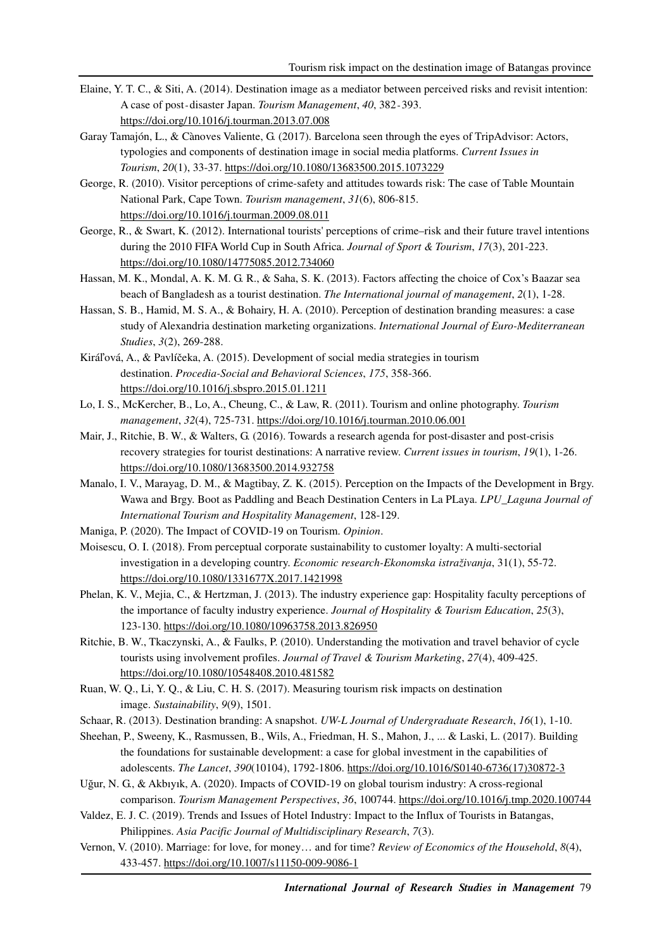- Elaine, Y. T. C., & Siti, A. (2014). Destination image as a mediator between perceived risks and revisit intention: A case of post-disaster Japan. *Tourism Management*, 40, 382-393. https://doi.org/10.1016/j.tourman.2013.07.008
- Garay Tamajón, L., & Cànoves Valiente, G. (2017). Barcelona seen through the eyes of TripAdvisor: Actors, typologies and components of destination image in social media platforms. *Current Issues in Tourism*, *20*(1), 33-37. https://doi.org/10.1080/13683500.2015.1073229
- George, R. (2010). Visitor perceptions of crime-safety and attitudes towards risk: The case of Table Mountain National Park, Cape Town. *Tourism management*, *31*(6), 806-815. https://doi.org/10.1016/j.tourman.2009.08.011
- George, R., & Swart, K. (2012). International tourists' perceptions of crime–risk and their future travel intentions during the 2010 FIFA World Cup in South Africa. *Journal of Sport & Tourism*, *17*(3), 201-223. https://doi.org/10.1080/14775085.2012.734060
- Hassan, M. K., Mondal, A. K. M. G. R., & Saha, S. K. (2013). Factors affecting the choice of Cox's Baazar sea beach of Bangladesh as a tourist destination. *The International journal of management*, *2*(1), 1-28.
- Hassan, S. B., Hamid, M. S. A., & Bohairy, H. A. (2010). Perception of destination branding measures: a case study of Alexandria destination marketing organizations. *International Journal of Euro-Mediterranean Studies*, *3*(2), 269-288.
- Kiráľová, A., & Pavlíčeka, A. (2015). Development of social media strategies in tourism destination. *Procedia-Social and Behavioral Sciences*, *175*, 358-366. https://doi.org/10.1016/j.sbspro.2015.01.1211
- Lo, I. S., McKercher, B., Lo, A., Cheung, C., & Law, R. (2011). Tourism and online photography. *Tourism management*, *32*(4), 725-731. https://doi.org/10.1016/j.tourman.2010.06.001
- Mair, J., Ritchie, B. W., & Walters, G. (2016). Towards a research agenda for post-disaster and post-crisis recovery strategies for tourist destinations: A narrative review. *Current issues in tourism*, *19*(1), 1-26. https://doi.org/10.1080/13683500.2014.932758
- Manalo, I. V., Marayag, D. M., & Magtibay, Z. K. (2015). Perception on the Impacts of the Development in Brgy. Wawa and Brgy. Boot as Paddling and Beach Destination Centers in La PLaya. *LPU\_Laguna Journal of International Tourism and Hospitality Management*, 128-129.
- Maniga, P. (2020). The Impact of COVID-19 on Tourism. *Opinion*.
- Moisescu, O. I. (2018). From perceptual corporate sustainability to customer loyalty: A multi-sectorial investigation in a developing country. *Economic research-Ekonomska istraživanja*, 31(1), 55-72. https://doi.org/10.1080/1331677X.2017.1421998
- Phelan, K. V., Mejia, C., & Hertzman, J. (2013). The industry experience gap: Hospitality faculty perceptions of the importance of faculty industry experience. *Journal of Hospitality & Tourism Education*, *25*(3), 123-130. https://doi.org/10.1080/10963758.2013.826950
- Ritchie, B. W., Tkaczynski, A., & Faulks, P. (2010). Understanding the motivation and travel behavior of cycle tourists using involvement profiles. *Journal of Travel & Tourism Marketing*, *27*(4), 409-425. https://doi.org/10.1080/10548408.2010.481582
- Ruan, W. Q., Li, Y. Q., & Liu, C. H. S. (2017). Measuring tourism risk impacts on destination image. *Sustainability*, *9*(9), 1501.
- Schaar, R. (2013). Destination branding: A snapshot. *UW-L Journal of Undergraduate Research*, *16*(1), 1-10.
- Sheehan, P., Sweeny, K., Rasmussen, B., Wils, A., Friedman, H. S., Mahon, J., ... & Laski, L. (2017). Building the foundations for sustainable development: a case for global investment in the capabilities of adolescents. *The Lancet*, *390*(10104), 1792-1806. https://doi.org/10.1016/S0140-6736(17)30872-3
- Uğur, N. G., & Akbıyık, A. (2020). Impacts of COVID-19 on global tourism industry: A cross-regional comparison. *Tourism Management Perspectives*, *36*, 100744. https://doi.org/10.1016/j.tmp.2020.100744
- Valdez, E. J. C. (2019). Trends and Issues of Hotel Industry: Impact to the Influx of Tourists in Batangas, Philippines. *Asia Pacific Journal of Multidisciplinary Research*, *7*(3).
- Vernon, V. (2010). Marriage: for love, for money… and for time? *Review of Economics of the Household*, *8*(4), 433-457. https://doi.org/10.1007/s11150-009-9086-1